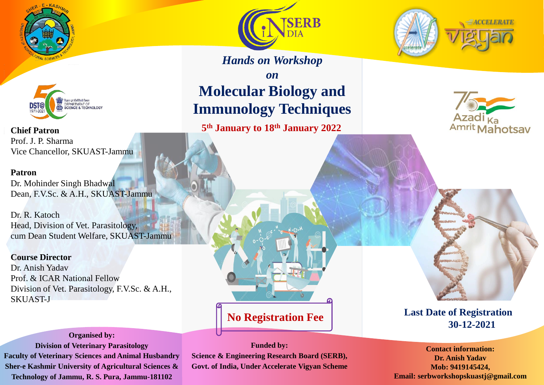



**Chief Patron** Prof. J. P. Sharma Vice Chancellor, SKUAST-Jammu

#### **Patron**

Dr. Mohinder Singh Bhadwal Dean, F.V.Sc. & A.H., SKUAST-Jammu

Dr. R. Katoch Head, Division of Vet. Parasitology, cum Dean Student Welfare, SKUAST-Jammu

**Course Director** Dr. Anish Yadav Prof. & ICAR National Fellow Division of Vet. Parasitology, F.V.Sc. & A.H., SKUAST-J

**No Registration Fee**





*Hands on Workshop*

# *on* **Molecular Biology and Immunology Techniques**

**5 th January to 18th January 2022**





**Last Date of Registration 30-12-2021**

**Contact information: Dr. Anish Yadav Mob: 9419145424, Email: serbworkshopskuastj@gmail.com**

**Funded by: Science & Engineering Research Board (SERB),**

**Govt. of India, Under Accelerate Vigyan Scheme**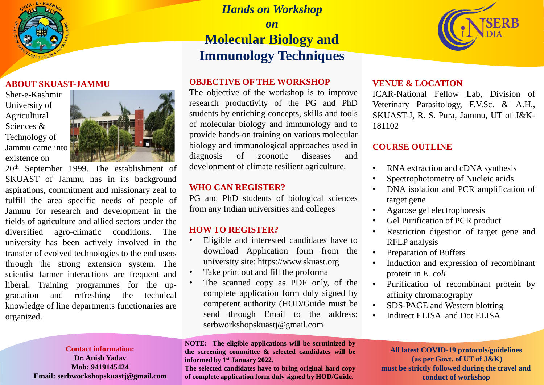

#### **ABOUT SKUAST-JAMMU**

Sher-e-Kashmir University of Agricultural Sciences & Technology of Jammu came into existence on



20th September 1999. The establishment of SKUAST of Jammu has in its background aspirations, commitment and missionary zeal to fulfill the area specific needs of people of Jammu for research and development in the fields of agriculture and allied sectors under the diversified agro-climatic conditions. The university has been actively involved in the transfer of evolved technologies to the end users through the strong extension system. The scientist farmer interactions are frequent and liberal. Training programmes for the upgradation and refreshing the technical knowledge of line departments functionaries are organized.

#### **Contact information: Dr. Anish Yadav**

**Mob: 9419145424 Email: serbworkshopskuastj@gmail.com**

## *Hands on Workshop on* **Molecular Biology and Immunology Techniques**

## **OBJECTIVE OF THE WORKSHOP**

The objective of the workshop is to improve research productivity of the PG and PhD students by enriching concepts, skills and tools of molecular biology and immunology and to provide hands-on training on various molecular biology and immunological approaches used in diagnosis of zoonotic diseases and development of climate resilient agriculture.

#### **WHO CAN REGISTER?**

PG and PhD students of biological sciences from any Indian universities and colleges

## **HOW TO REGISTER?**

- Eligible and interested candidates have to download Application form from the university site: https://www.skuast.org
- Take print out and fill the proforma
- The scanned copy as PDF only, of the complete application form duly signed by competent authority (HOD/Guide must be send through Email to the address: serbworkshopskuastj@gmail.com

**NOTE: The eligible applications will be scrutinized by the screening committee & selected candidates will be informed by 1 st January 2022.**

**The selected candidates have to bring original hard copy of complete application form duly signed by HOD/Guide.**



## **VENUE & LOCATION**

ICAR-National Fellow Lab, Division of Veterinary Parasitology, F.V.Sc. & A.H., SKUAST-J, R. S. Pura, Jammu, UT of J&K-181102

## **COURSE OUTLINE**

- RNA extraction and cDNA synthesis
- Spectrophotometry of Nucleic acids
- DNA isolation and PCR amplification of target gene
- Agarose gel electrophoresis
- Gel Purification of PCR product
- Restriction digestion of target gene and RFLP analysis
- Preparation of Buffers
- Induction and expression of recombinant protein in *E. coli*
- Purification of recombinant protein by affinity chromatography
- SDS-PAGE and Western blotting
- Indirect ELISA and Dot ELISA

**All latest COVID-19 protocols/guidelines (as per Govt. of UT of J&K) must be strictly followed during the travel and conduct of workshop**